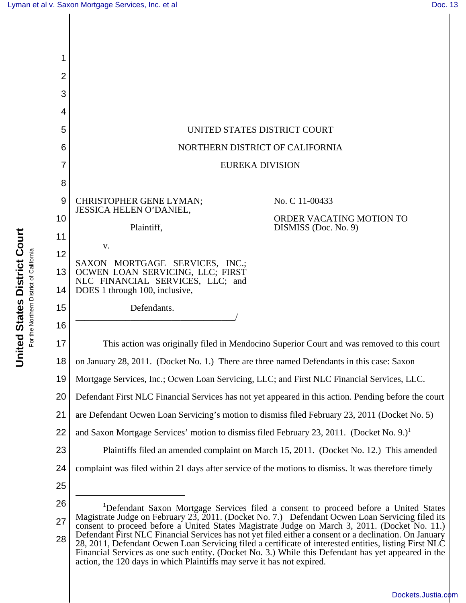